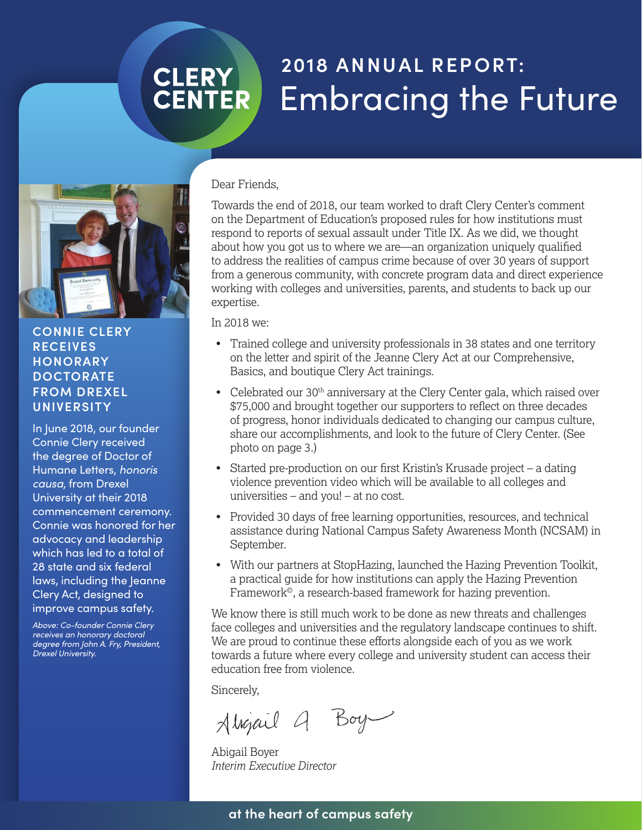# **2018 ANNUAL REPORT: CLERY**<br>CENTER Embracing the Future



#### **CONNIE CLERY RECEIVES HONORARY DOCTORATE FROM DREXEL UNIVERSITY**

In June 2018, our founder Connie Clery received the degree of Doctor of Humane Letters, *honoris causa*, from Drexel University at their 2018 commencement ceremony. Connie was honored for her advocacy and leadership which has led to a total of 28 state and six federal laws, including the Jeanne Clery Act, designed to improve campus safety.

*Above: Co-founder Connie Clery receives an honorary doctoral degree from John A. Fry, President, Drexel University.*

### Dear Friends,

Towards the end of 2018, our team worked to draft Clery Center's comment on the Department of Education's proposed rules for how institutions must respond to reports of sexual assault under Title IX. As we did, we thought about how you got us to where we are—an organization uniquely qualified to address the realities of campus crime because of over 30 years of support from a generous community, with concrete program data and direct experience working with colleges and universities, parents, and students to back up our expertise.

In 2018 we:

- Trained college and university professionals in 38 states and one territory on the letter and spirit of the Jeanne Clery Act at our Comprehensive, Basics, and boutique Clery Act trainings.
- Celebrated our 30<sup>th</sup> anniversary at the Clery Center gala, which raised over \$75,000 and brought together our supporters to reflect on three decades of progress, honor individuals dedicated to changing our campus culture, share our accomplishments, and look to the future of Clery Center. (See photo on page 3.)
- Started pre-production on our first Kristin's Krusade project a dating violence prevention video which will be available to all colleges and universities – and you! – at no cost.
- Provided 30 days of free learning opportunities, resources, and technical assistance during National Campus Safety Awareness Month (NCSAM) in September.
- With our partners at StopHazing, launched the Hazing Prevention Toolkit, a practical guide for how institutions can apply the Hazing Prevention Framework<sup>®</sup>, a research-based framework for hazing prevention.

We know there is still much work to be done as new threats and challenges face colleges and universities and the regulatory landscape continues to shift. We are proud to continue these efforts alongside each of you as we work towards a future where every college and university student can access their education free from violence.

Sincerely,

Alvipil 9 Boy

Abigail Boyer *Interim Executive Director*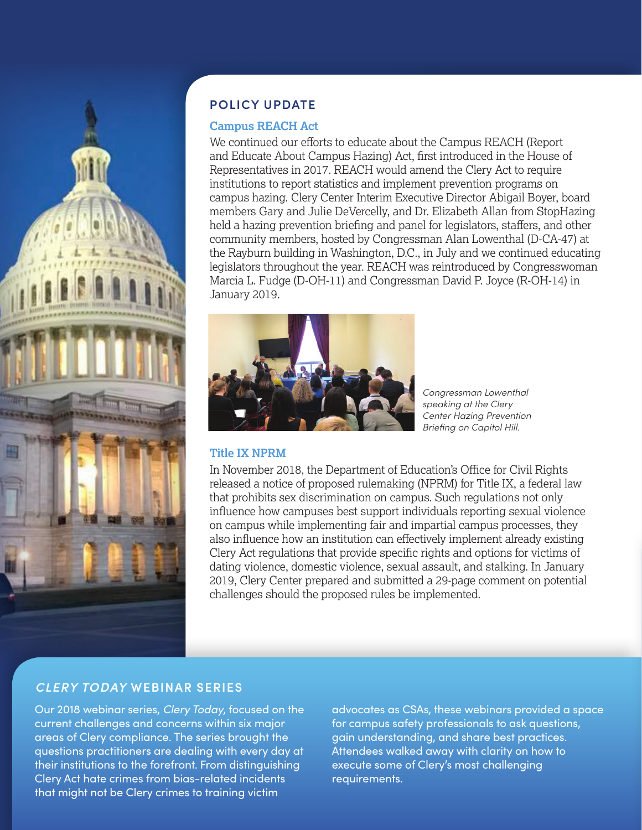

## **POLICY UPDATE**

#### **Campus REACH Act**

We continued our efforts to educate about the Campus REACH (Report and Educate About Campus Hazing) Act, first introduced in the House of Representatives in 2017. REACH would amend the Clery Act to require institutions to report statistics and implement prevention programs on campus hazing. Clery Center Interim Executive Director Abigail Boyer, board members Gary and Julie DeVercelly, and Dr. Elizabeth Allan from StopHazing held a hazing prevention briefing and panel for legislators, staffers, and other community members, hosted by Congressman Alan Lowenthal (D-CA-47) at the Rayburn building in Washington, D.C., in July and we continued educating legislators throughout the year. REACH was reintroduced by Congresswoman Marcia L. Fudge (D-OH-11) and Congressman David P. Joyce (R-OH-14) in January 2019.



*Congressman Lowenthal speaking at the Clery Center Hazing Prevention Briefing on Capitol Hill.*

#### **Title IX NPRM**

In November 2018, the Department of Education's Office for Civil Rights released a notice of proposed rulemaking (NPRM) for Title IX, a federal law that prohibits sex discrimination on campus. Such regulations not only influence how campuses best support individuals reporting sexual violence on campus while implementing fair and impartial campus processes, they also influence how an institution can effectively implement already existing Clery Act regulations that provide specific rights and options for victims of dating violence, domestic violence, sexual assault, and stalking. In January 2019, Clery Center prepared and submitted a 29-page comment on potential challenges should the proposed rules be implemented.

#### *CLERY TODAY* **WEBINAR SERIES**

Our 2018 webinar series, *Clery Today*, focused on the current challenges and concerns within six major areas of Clery compliance. The series brought the questions practitioners are dealing with every day at their institutions to the forefront. From distinguishing Clery Act hate crimes from bias-related incidents that might not be Clery crimes to training victim

advocates as CSAs, these webinars provided a space for campus safety professionals to ask questions, gain understanding, and share best practices. Attendees walked away with clarity on how to execute some of Clery's most challenging requirements.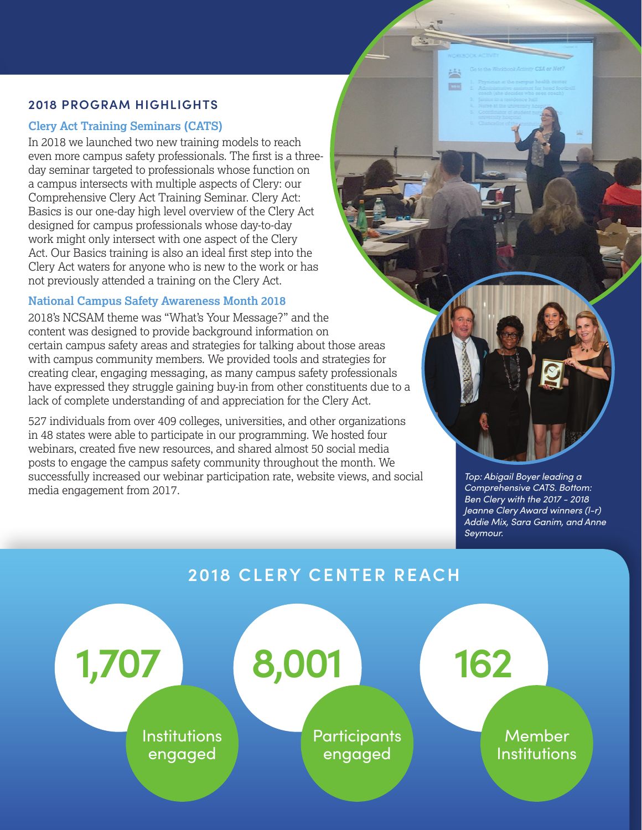#### **2018 PROGRAM HIGHLIGHTS**

#### **Clery Act Training Seminars (CATS)**

In 2018 we launched two new training models to reach even more campus safety professionals. The first is a threeday seminar targeted to professionals whose function on a campus intersects with multiple aspects of Clery: our Comprehensive Clery Act Training Seminar. Clery Act: Basics is our one-day high level overview of the Clery Act designed for campus professionals whose day-to-day work might only intersect with one aspect of the Clery Act. Our Basics training is also an ideal first step into the Clery Act waters for anyone who is new to the work or has not previously attended a training on the Clery Act.

### **National Campus Safety Awareness Month 2018**

2018's NCSAM theme was "What's Your Message?" and the content was designed to provide background information on certain campus safety areas and strategies for talking about those areas with campus community members. We provided tools and strategies for creating clear, engaging messaging, as many campus safety professionals have expressed they struggle gaining buy-in from other constituents due to a lack of complete understanding of and appreciation for the Clery Act.

527 individuals from over 409 colleges, universities, and other organizations in 48 states were able to participate in our programming. We hosted four webinars, created five new resources, and shared almost 50 social media posts to engage the campus safety community throughout the month. We successfully increased our webinar participation rate, website views, and social media engagement from 2017.



*Top: Abigail Boyer leading a Comprehensive CATS. Bottom: Ben Clery with the 2017 - 2018 Jeanne Clery Award winners (l-r) Addie Mix, Sara Ganim, and Anne Seymour.*

## **2018 CLERY CENTER REACH**